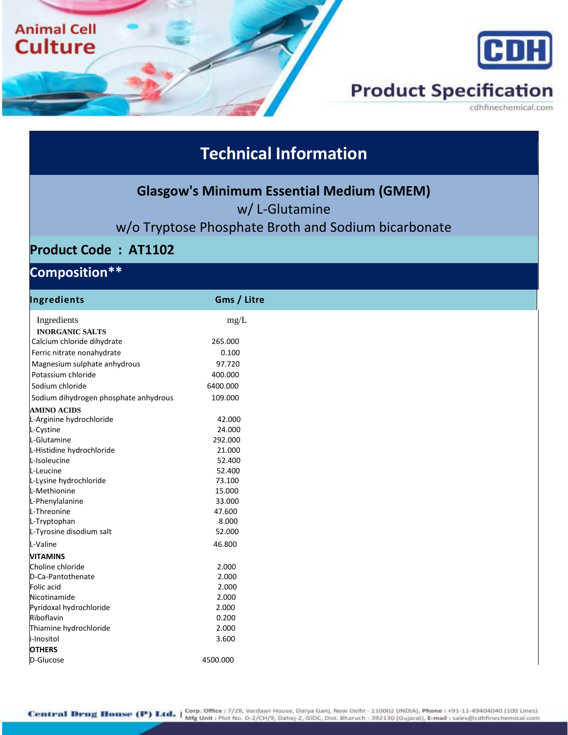

## **Technical Information**

**Glasgow's Minimum Essential Medium (GMEM)**

w/ L-Glutamine

### w/o Tryptose Phosphate Broth and Sodium bicarbonate

#### **Product Code : AT1102**

### **Composition\*\***

| Ingredients                           | Gms / Litre |
|---------------------------------------|-------------|
| Ingredients                           | mg/L        |
| <b>INORGANIC SALTS</b>                |             |
| Calcium chloride dihydrate            | 265.000     |
| Ferric nitrate nonahydrate            | 0.100       |
| Magnesium sulphate anhydrous          | 97.720      |
| Potassium chloride                    | 400.000     |
| Sodium chloride                       | 6400.000    |
| Sodium dihydrogen phosphate anhydrous | 109.000     |
| <b>AMINO ACIDS</b>                    |             |
| L-Arginine hydrochloride              | 42.000      |
| L-Cystine                             | 24.000      |
| L-Glutamine                           | 292.000     |
| L-Histidine hydrochloride             | 21.000      |
| L-Isoleucine                          | 52.400      |
| L-Leucine                             | 52.400      |
| L-Lysine hydrochloride                | 73.100      |
| L-Methionine                          | 15.000      |
| L-Phenylalanine                       | 33.000      |
| L-Threonine                           | 47.600      |
| L-Tryptophan                          | 8.000       |
| L-Tyrosine disodium salt              | 52.000      |
| L-Valine                              | 46.800      |
| <b>VITAMINS</b>                       |             |
| Choline chloride                      | 2.000       |
| D-Ca-Pantothenate                     | 2.000       |
| Folic acid                            | 2.000       |
| Nicotinamide                          | 2.000       |
| Pyridoxal hydrochloride               | 2.000       |
| Riboflavin                            | 0.200       |
| Thiamine hydrochloride                | 2.000       |
| i-Inositol                            | 3.600       |
| <b>OTHERS</b>                         |             |
| D-Glucose                             | 4500.000    |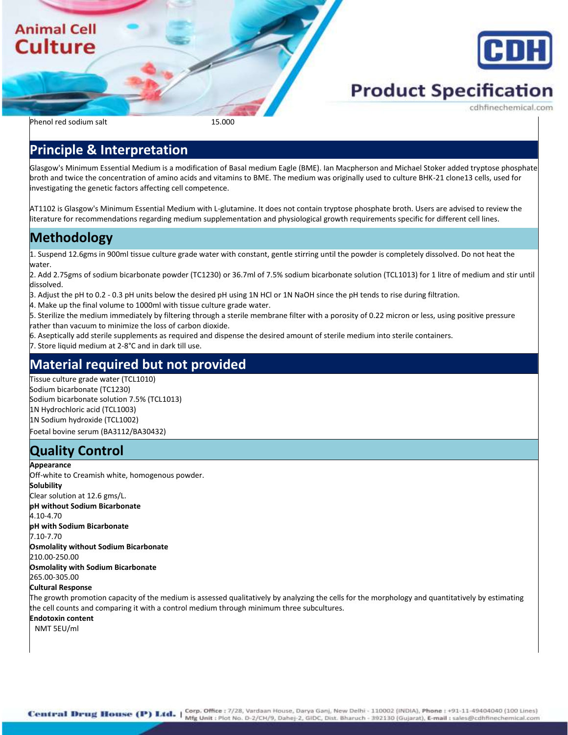### **Animal Cell Culture**



# **Product Specification**

Phenol red sodium salt 15.000

#### **Principle & Interpretation**

Glasgow's Minimum Essential Medium is a modification of Basal medium Eagle (BME). Ian Macpherson and Michael Stoker added tryptose phosphate broth and twice the concentration of amino acids and vitamins to BME. The medium was originally used to culture BHK-21 clone13 cells, used for investigating the genetic factors affecting cell competence.

AT1102 is Glasgow's Minimum Essential Medium with L-glutamine. It does not contain tryptose phosphate broth. Users are advised to review the literature for recommendations regarding medium supplementation and physiological growth requirements specific for different cell lines.

#### **Methodology**

1. Suspend 12.6gms in 900ml tissue culture grade water with constant, gentle stirring until the powder is completely dissolved. Do not heat the water.

2. Add 2.75gms of sodium bicarbonate powder (TC1230) or 36.7ml of 7.5% sodium bicarbonate solution (TCL1013) for 1 litre of medium and stir until dissolved.

- 3. Adjust the pH to 0.2 0.3 pH units below the desired pH using 1N HCl or 1N NaOH since the pH tends to rise during filtration.
- 4. Make up the final volume to 1000ml with tissue culture grade water.

5. Sterilize the medium immediately by filtering through a sterile membrane filter with a porosity of 0.22 micron or less, using positive pressure rather than vacuum to minimize the loss of carbon dioxide.

6. Aseptically add sterile supplements as required and dispense the desired amount of sterile medium into sterile containers.

7. Store liquid medium at 2-8°C and in dark till use.

#### **Material required but not provided**

Tissue culture grade water (TCL1010) Sodium bicarbonate (TC1230) Sodium bicarbonate solution 7.5% (TCL1013) 1N Hydrochloric acid (TCL1003) 1N Sodium hydroxide (TCL1002) Foetal bovine serum (BA3112/BA30432)

### **Quality Control**

#### **Appearance**

Off-white to Creamish white, homogenous powder. **Solubility** Clear solution at 12.6 gms/L. **pH without Sodium Bicarbonate** 4.10-4.70 **pH with Sodium Bicarbonate** 7.10-7.70 **Osmolality without Sodium Bicarbonate** 210.00-250.00 **Osmolality with Sodium Bicarbonate** 265.00-305.00

#### **Cultural Response**

The growth promotion capacity of the medium is assessed qualitatively by analyzing the cells for the morphology and quantitatively by estimating the cell counts and comparing it with a control medium through minimum three subcultures.

**Endotoxin content**

NMT 5EU/ml